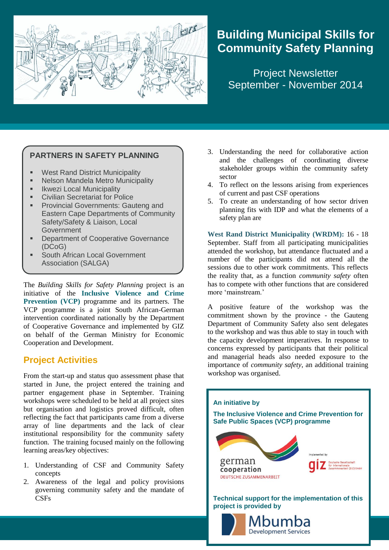

# **Building Municipal Skills for Community Safety Planning**

Project Newsletter September - November 2014

#### **PARTNERS IN SAFETY PLANNING**

- West Rand District Municipality
- Nelson Mandela Metro Municipality
- Ikwezi Local Municipality
- **Civilian Secretariat for Police**
- Provincial Governments: Gauteng and Eastern Cape Departments of Community Safety/Safety & Liaison, Local Government
- Department of Cooperative Governance (DCoG)
- South African Local Government Association (SALGA)

The *Building Skills for Safety Planning* project is an initiative of the **Inclusive Violence and Crime Prevention (VCP)** programme and its partners. The VCP programme is a joint South African-German intervention coordinated nationally by the Department of Cooperative Governance and implemented by GIZ on behalf of the German Ministry for Economic Cooperation and Development.

# **Project Activities**

From the start-up and status quo assessment phase that started in June, the project entered the training and partner engagement phase in September. Training workshops were scheduled to be held at all project sites but organisation and logistics proved difficult, often reflecting the fact that participants came from a diverse array of line departments and the lack of clear institutional responsibility for the community safety function. The training focused mainly on the following learning areas/key objectives:

- 1. Understanding of CSF and Community Safety concepts
- 2. Awareness of the legal and policy provisions governing community safety and the mandate of **CSFs**
- 3. Understanding the need for collaborative action and the challenges of coordinating diverse stakeholder groups within the community safety sector
- 4. To reflect on the lessons arising from experiences of current and past CSF operations
- 5. To create an understanding of how sector driven planning fits with IDP and what the elements of a safety plan are

**West Rand District Municipality (WRDM):** 16 - 18 September. Staff from all participating municipalities attended the workshop, but attendance fluctuated and a number of the participants did not attend all the sessions due to other work commitments. This reflects the reality that, as a function *community safety* often has to compete with other functions that are considered more 'mainstream.'

A positive feature of the workshop was the commitment shown by the province - the Gauteng Department of Community Safety also sent delegates to the workshop and was thus able to stay in touch with the capacity development imperatives. In response to concerns expressed by participants that their political and managerial heads also needed exposure to the importance of *community safety*, an additional training workshop was organised.

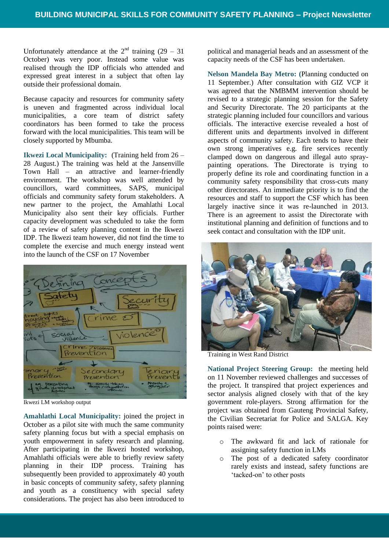Unfortunately attendance at the  $2<sup>nd</sup>$  training (29 – 31) October) was very poor. Instead some value was realised through the IDP officials who attended and expressed great interest in a subject that often lay outside their professional domain.

Because capacity and resources for community safety is uneven and fragmented across individual local municipalities, a core team of district safety coordinators has been formed to take the process forward with the local municipalities. This team will be closely supported by Mbumba.

**Ikwezi Local Municipality:** (Training held from 26 – 28 August.) The training was held at the Jansenville Town Hall – an attractive and learner-friendly environment. The workshop was well attended by councillors, ward committees, SAPS, municipal officials and community safety forum stakeholders. A new partner to the project, the Amahlathi Local Municipality also sent their key officials. Further capacity development was scheduled to take the form of a review of safety planning content in the Ikwezi IDP. The Ikwezi team however, did not find the time to complete the exercise and much energy instead went into the launch of the CSF on 17 November



Ikwezi LM workshop output

**Amahlathi Local Municipality:** joined the project in October as a pilot site with much the same community safety planning focus but with a special emphasis on youth empowerment in safety research and planning. After participating in the Ikwezi hosted workshop, Amahlathi officials were able to briefly review safety planning in their IDP process. Training has subsequently been provided to approximately 40 youth in basic concepts of community safety, safety planning and youth as a constituency with special safety considerations. The project has also been introduced to political and managerial heads and an assessment of the capacity needs of the CSF has been undertaken.

**Nelson Mandela Bay Metro: (**Planning conducted on 11 September.) After consultation with GIZ VCP it was agreed that the NMBMM intervention should be revised to a strategic planning session for the Safety and Security Directorate. The 20 participants at the strategic planning included four councillors and various officials. The interactive exercise revealed a host of different units and departments involved in different aspects of community safety. Each tends to have their own strong imperatives e.g. fire services recently clamped down on dangerous and illegal auto spraypainting operations. The Directorate is trying to properly define its role and coordinating function in a community safety responsibility that cross-cuts many other directorates. An immediate priority is to find the resources and staff to support the CSF which has been largely inactive since it was re-launched in 2013. There is an agreement to assist the Directorate with institutional planning and definition of functions and to seek contact and consultation with the IDP unit.



Training in West Rand District

**National Project Steering Group:** the meeting held on 11 November reviewed challenges and successes of the project. It transpired that project experiences and sector analysis aligned closely with that of the key government role-players. Strong affirmation for the project was obtained from Gauteng Provincial Safety, the Civilian Secretariat for Police and SALGA. Key points raised were:

- o The awkward fit and lack of rationale for assigning safety function in LMs
- o The post of a dedicated safety coordinator rarely exists and instead, safety functions are 'tacked-on' to other posts